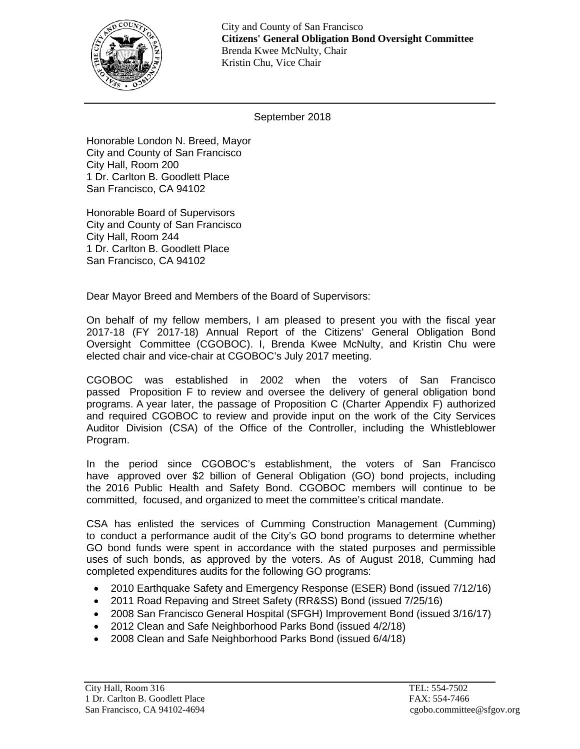

City and County of San Francisco **Citizens' General Obligation Bond Oversight Committee** Brenda Kwee McNulty, Chair Kristin Chu, Vice Chair

September 2018

Honorable London N. Breed, Mayor City and County of San Francisco City Hall, Room 200 1 Dr. Carlton B. Goodlett Place San Francisco, CA 94102

Honorable Board of Supervisors City and County of San Francisco City Hall, Room 244 1 Dr. Carlton B. Goodlett Place San Francisco, CA 94102

Dear Mayor Breed and Members of the Board of Supervisors:

On behalf of my fellow members, I am pleased to present you with the fiscal year 2017-18 (FY 2017-18) Annual Report of the Citizens' General Obligation Bond Oversight Committee (CGOBOC). I, Brenda Kwee McNulty, and Kristin Chu were elected chair and vice-chair at CGOBOC's July 2017 meeting.

CGOBOC was established in 2002 when the voters of San Francisco passed Proposition F to review and oversee the delivery of general obligation bond programs. A year later, the passage of Proposition C (Charter Appendix F) authorized and required CGOBOC to review and provide input on the work of the City Services Auditor Division (CSA) of the Office of the Controller, including the Whistleblower Program.

In the period since CGOBOC's establishment, the voters of San Francisco have approved over \$2 billion of General Obligation (GO) bond projects, including the 2016 Public Health and Safety Bond. CGOBOC members will continue to be committed, focused, and organized to meet the committee's critical mandate.

CSA has enlisted the services of Cumming Construction Management (Cumming) to conduct a performance audit of the City's GO bond programs to determine whether GO bond funds were spent in accordance with the stated purposes and permissible uses of such bonds, as approved by the voters. As of August 2018, Cumming had completed expenditures audits for the following GO programs:

- 2010 Earthquake Safety and Emergency Response (ESER) Bond (issued 7/12/16)
- 2011 Road Repaving and Street Safety (RR&SS) Bond (issued 7/25/16)
- 2008 San Francisco General Hospital (SFGH) Improvement Bond (issued 3/16/17)
- 2012 Clean and Safe Neighborhood Parks Bond (issued 4/2/18)
- 2008 Clean and Safe Neighborhood Parks Bond (issued 6/4/18)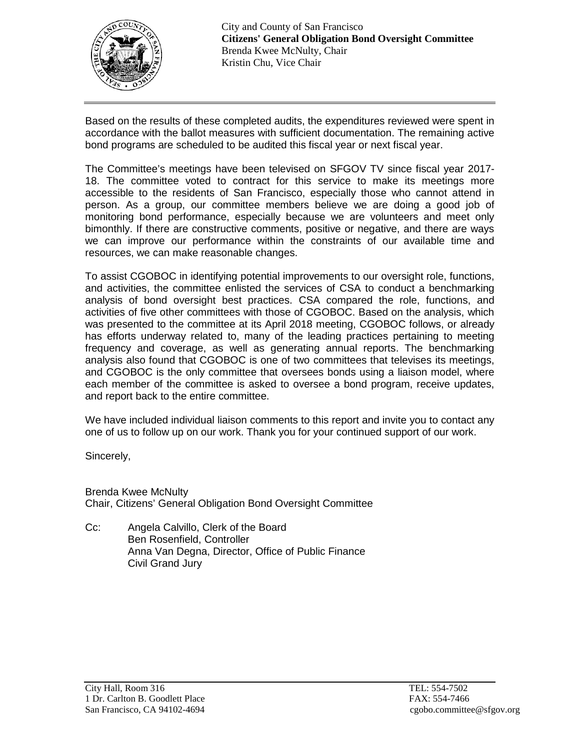

Based on the results of these completed audits, the expenditures reviewed were spent in accordance with the ballot measures with sufficient documentation. The remaining active bond programs are scheduled to be audited this fiscal year or next fiscal year.

The Committee's meetings have been televised on SFGOV TV since fiscal year 2017- 18. The committee voted to contract for this service to make its meetings more accessible to the residents of San Francisco, especially those who cannot attend in person. As a group, our committee members believe we are doing a good job of monitoring bond performance, especially because we are volunteers and meet only bimonthly. If there are constructive comments, positive or negative, and there are ways we can improve our performance within the constraints of our available time and resources, we can make reasonable changes.

To assist CGOBOC in identifying potential improvements to our oversight role, functions, and activities, the committee enlisted the services of CSA to conduct a benchmarking analysis of bond oversight best practices. CSA compared the role, functions, and activities of five other committees with those of CGOBOC. Based on the analysis, which was presented to the committee at its April 2018 meeting, CGOBOC follows, or already has efforts underway related to, many of the leading practices pertaining to meeting frequency and coverage, as well as generating annual reports. The benchmarking analysis also found that CGOBOC is one of two committees that televises its meetings, and CGOBOC is the only committee that oversees bonds using a liaison model, where each member of the committee is asked to oversee a bond program, receive updates, and report back to the entire committee.

We have included individual liaison comments to this report and invite you to contact any one of us to follow up on our work. Thank you for your continued support of our work.

Sincerely,

Brenda Kwee McNulty Chair, Citizens' General Obligation Bond Oversight Committee

Cc: Angela Calvillo, Clerk of the Board Ben Rosenfield, Controller Anna Van Degna, Director, Office of Public Finance Civil Grand Jury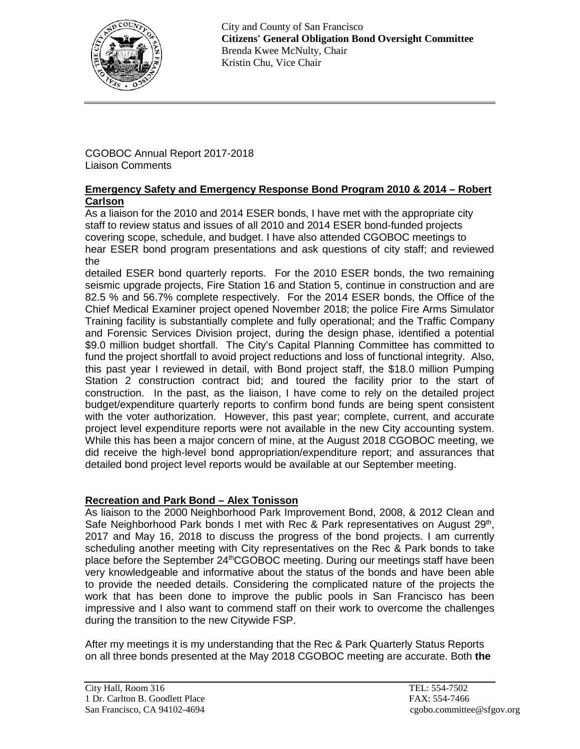

City and County of San Francisco **Citizens' General Obligation Bond Oversight Committee** Brenda Kwee McNulty, Chair Kristin Chu, Vice Chair

CGOBOC Annual Report 2017-2018 Liaison Comments

### **Emergency Safety and Emergency Response Bond Program 2010 & 2014 – Robert Carlson**

As a liaison for the 2010 and 2014 ESER bonds, I have met with the appropriate city staff to review status and issues of all 2010 and 2014 ESER bond-funded projects covering scope, schedule, and budget. I have also attended CGOBOC meetings to hear ESER bond program presentations and ask questions of city staff; and reviewed the

detailed ESER bond quarterly reports. For the 2010 ESER bonds, the two remaining seismic upgrade projects, Fire Station 16 and Station 5, continue in construction and are 82.5 % and 56.7% complete respectively. For the 2014 ESER bonds, the Office of the Chief Medical Examiner project opened November 2018; the police Fire Arms Simulator Training facility is substantially complete and fully operational; and the Traffic Company and Forensic Services Division project, during the design phase, identified a potential \$9.0 million budget shortfall. The City's Capital Planning Committee has committed to fund the project shortfall to avoid project reductions and loss of functional integrity. Also, this past year I reviewed in detail, with Bond project staff, the \$18.0 million Pumping Station 2 construction contract bid; and toured the facility prior to the start of construction. In the past, as the liaison, I have come to rely on the detailed project budget/expenditure quarterly reports to confirm bond funds are being spent consistent with the voter authorization. However, this past year; complete, current, and accurate project level expenditure reports were not available in the new City accounting system. While this has been a major concern of mine, at the August 2018 CGOBOC meeting, we did receive the high-level bond appropriation/expenditure report; and assurances that detailed bond project level reports would be available at our September meeting.

# **Recreation and Park Bond – Alex Tonisson**

As liaison to the 2000 Neighborhood Park Improvement Bond, 2008, & 2012 Clean and Safe Neighborhood Park bonds I met with Rec & Park representatives on August 29<sup>th</sup>, 2017 and May 16, 2018 to discuss the progress of the bond projects. I am currently scheduling another meeting with City representatives on the Rec & Park bonds to take place before the September 24<sup>th</sup>CGOBOC meeting. During our meetings staff have been very knowledgeable and informative about the status of the bonds and have been able to provide the needed details. Considering the complicated nature of the projects the work that has been done to improve the public pools in San Francisco has been impressive and I also want to commend staff on their work to overcome the challenges during the transition to the new Citywide FSP.

After my meetings it is my understanding that the Rec & Park Quarterly Status Reports on all three bonds presented at the May 2018 CGOBOC meeting are accurate. Both **the**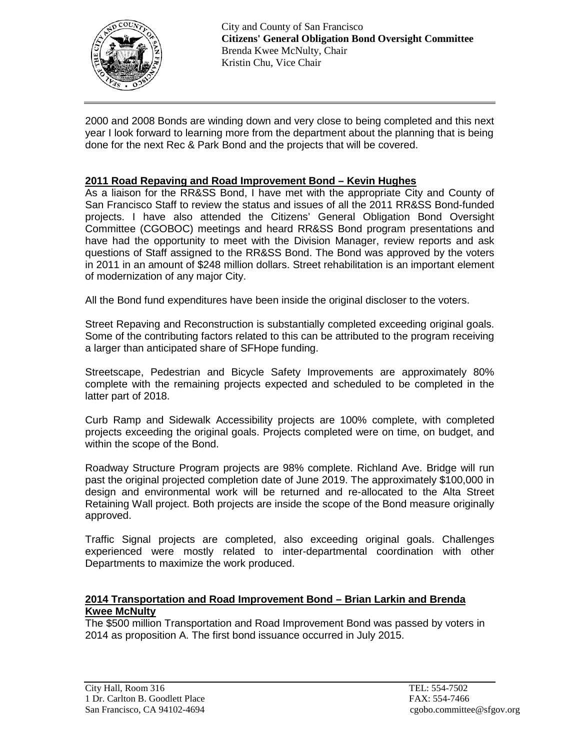

2000 and 2008 Bonds are winding down and very close to being completed and this next year I look forward to learning more from the department about the planning that is being done for the next Rec & Park Bond and the projects that will be covered.

### **2011 Road Repaving and Road Improvement Bond – Kevin Hughes**

As a liaison for the RR&SS Bond, I have met with the appropriate City and County of San Francisco Staff to review the status and issues of all the 2011 RR&SS Bond-funded projects. I have also attended the Citizens' General Obligation Bond Oversight Committee (CGOBOC) meetings and heard RR&SS Bond program presentations and have had the opportunity to meet with the Division Manager, review reports and ask questions of Staff assigned to the RR&SS Bond. The Bond was approved by the voters in 2011 in an amount of \$248 million dollars. Street rehabilitation is an important element of modernization of any major City.

All the Bond fund expenditures have been inside the original discloser to the voters.

Street Repaving and Reconstruction is substantially completed exceeding original goals. Some of the contributing factors related to this can be attributed to the program receiving a larger than anticipated share of SFHope funding.

Streetscape, Pedestrian and Bicycle Safety Improvements are approximately 80% complete with the remaining projects expected and scheduled to be completed in the latter part of 2018.

Curb Ramp and Sidewalk Accessibility projects are 100% complete, with completed projects exceeding the original goals. Projects completed were on time, on budget, and within the scope of the Bond.

Roadway Structure Program projects are 98% complete. Richland Ave. Bridge will run past the original projected completion date of June 2019. The approximately \$100,000 in design and environmental work will be returned and re-allocated to the Alta Street Retaining Wall project. Both projects are inside the scope of the Bond measure originally approved.

Traffic Signal projects are completed, also exceeding original goals. Challenges experienced were mostly related to inter-departmental coordination with other Departments to maximize the work produced.

### **2014 Transportation and Road Improvement Bond – Brian Larkin and Brenda Kwee McNulty**

The \$500 million Transportation and Road Improvement Bond was passed by voters in 2014 as proposition A. The first bond issuance occurred in July 2015.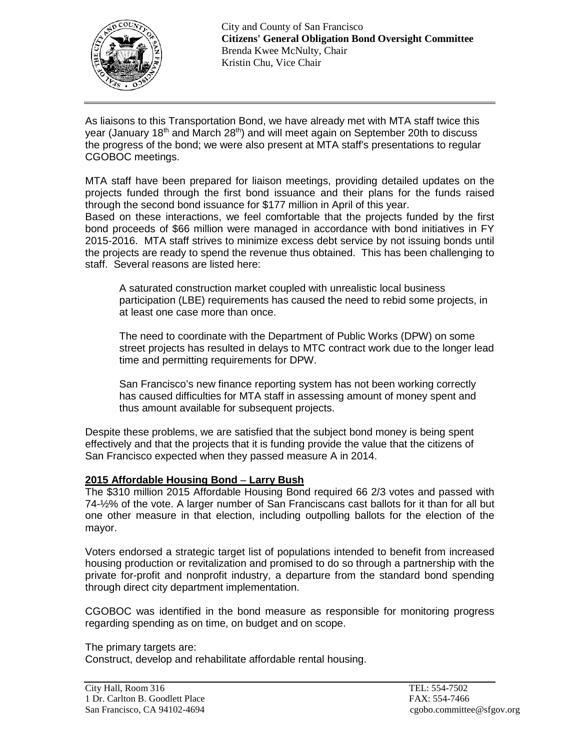

City and County of San Francisco **Citizens' General Obligation Bond Oversight Committee** Brenda Kwee McNulty, Chair Kristin Chu, Vice Chair

As liaisons to this Transportation Bond, we have already met with MTA staff twice this year (January 18<sup>th</sup> and March 28<sup>th</sup>) and will meet again on September 20th to discuss the progress of the bond; we were also present at MTA staff's presentations to regular CGOBOC meetings.

MTA staff have been prepared for liaison meetings, providing detailed updates on the projects funded through the first bond issuance and their plans for the funds raised through the second bond issuance for \$177 million in April of this year. Based on these interactions, we feel comfortable that the projects funded by the first bond proceeds of \$66 million were managed in accordance with bond initiatives in FY 2015-2016. MTA staff strives to minimize excess debt service by not issuing bonds until the projects are ready to spend the revenue thus obtained. This has been challenging to

staff. Several reasons are listed here:

A saturated construction market coupled with unrealistic local business participation (LBE) requirements has caused the need to rebid some projects, in at least one case more than once.

The need to coordinate with the Department of Public Works (DPW) on some street projects has resulted in delays to MTC contract work due to the longer lead time and permitting requirements for DPW.

San Francisco's new finance reporting system has not been working correctly has caused difficulties for MTA staff in assessing amount of money spent and thus amount available for subsequent projects.

Despite these problems, we are satisfied that the subject bond money is being spent effectively and that the projects that it is funding provide the value that the citizens of San Francisco expected when they passed measure A in 2014.

# **2015 Affordable Housing Bond** – **Larry Bush**

The \$310 million 2015 Affordable Housing Bond required 66 2/3 votes and passed with 74-½% of the vote. A larger number of San Franciscans cast ballots for it than for all but one other measure in that election, including outpolling ballots for the election of the mayor.

Voters endorsed a strategic target list of populations intended to benefit from increased housing production or revitalization and promised to do so through a partnership with the private for-profit and nonprofit industry, a departure from the standard bond spending through direct city department implementation.

CGOBOC was identified in the bond measure as responsible for monitoring progress regarding spending as on time, on budget and on scope.

The primary targets are:

Construct, develop and rehabilitate affordable rental housing.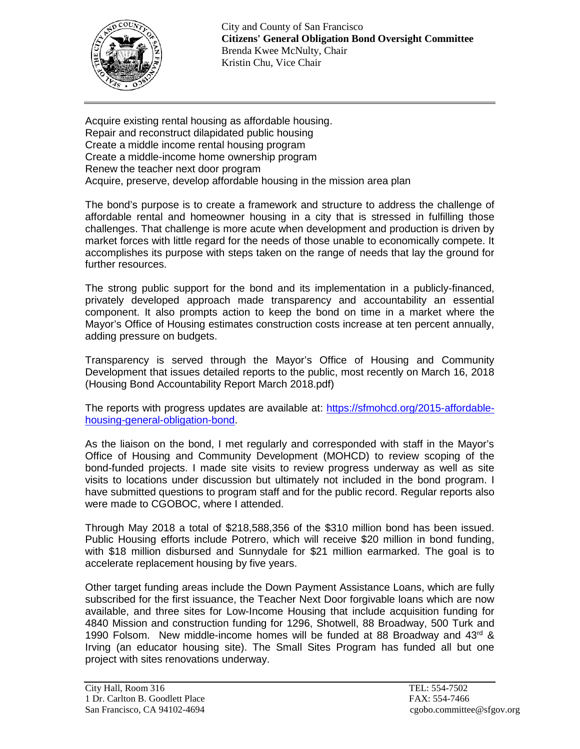

City and County of San Francisco **Citizens' General Obligation Bond Oversight Committee** Brenda Kwee McNulty, Chair Kristin Chu, Vice Chair

Acquire existing rental housing as affordable housing. Repair and reconstruct dilapidated public housing Create a middle income rental housing program Create a middle-income home ownership program Renew the teacher next door program Acquire, preserve, develop affordable housing in the mission area plan

The bond's purpose is to create a framework and structure to address the challenge of affordable rental and homeowner housing in a city that is stressed in fulfilling those challenges. That challenge is more acute when development and production is driven by market forces with little regard for the needs of those unable to economically compete. It accomplishes its purpose with steps taken on the range of needs that lay the ground for further resources.

The strong public support for the bond and its implementation in a publicly-financed, privately developed approach made transparency and accountability an essential component. It also prompts action to keep the bond on time in a market where the Mayor's Office of Housing estimates construction costs increase at ten percent annually, adding pressure on budgets.

Transparency is served through the Mayor's Office of Housing and Community Development that issues detailed reports to the public, most recently on March 16, 2018 (Housing Bond Accountability Report March 2018.pdf)

The reports with progress updates are available at: [https://sfmohcd.org/2015-affordable](https://sfmohcd.org/2015-affordable-housing-general-obligation-bond)[housing-general-obligation-bond.](https://sfmohcd.org/2015-affordable-housing-general-obligation-bond)

As the liaison on the bond, I met regularly and corresponded with staff in the Mayor's Office of Housing and Community Development (MOHCD) to review scoping of the bond-funded projects. I made site visits to review progress underway as well as site visits to locations under discussion but ultimately not included in the bond program. I have submitted questions to program staff and for the public record. Regular reports also were made to CGOBOC, where I attended.

Through May 2018 a total of \$218,588,356 of the \$310 million bond has been issued. Public Housing efforts include Potrero, which will receive \$20 million in bond funding, with \$18 million disbursed and Sunnydale for \$21 million earmarked. The goal is to accelerate replacement housing by five years.

Other target funding areas include the Down Payment Assistance Loans, which are fully subscribed for the first issuance, the Teacher Next Door forgivable loans which are now available, and three sites for Low-Income Housing that include acquisition funding for 4840 Mission and construction funding for 1296, Shotwell, 88 Broadway, 500 Turk and 1990 Folsom. New middle-income homes will be funded at 88 Broadway and  $43^{\text{rd}}$  & Irving (an educator housing site). The Small Sites Program has funded all but one project with sites renovations underway.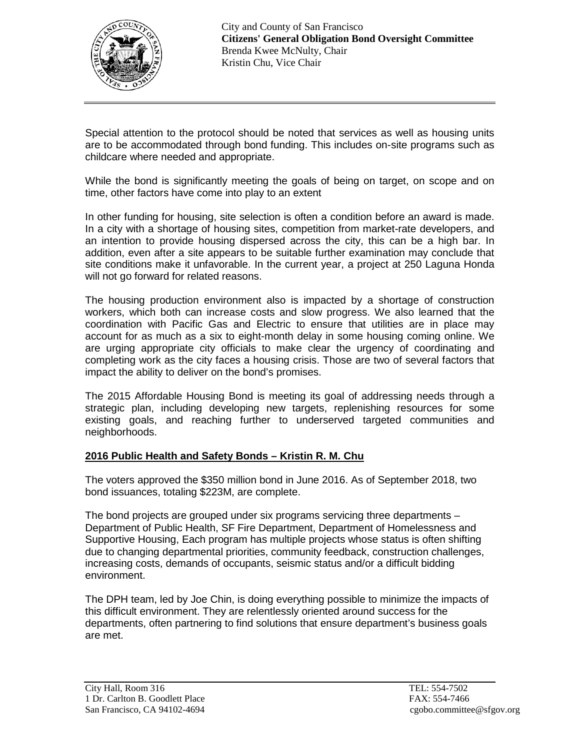

Special attention to the protocol should be noted that services as well as housing units are to be accommodated through bond funding. This includes on-site programs such as childcare where needed and appropriate.

While the bond is significantly meeting the goals of being on target, on scope and on time, other factors have come into play to an extent

In other funding for housing, site selection is often a condition before an award is made. In a city with a shortage of housing sites, competition from market-rate developers, and an intention to provide housing dispersed across the city, this can be a high bar. In addition, even after a site appears to be suitable further examination may conclude that site conditions make it unfavorable. In the current year, a project at 250 Laguna Honda will not go forward for related reasons.

The housing production environment also is impacted by a shortage of construction workers, which both can increase costs and slow progress. We also learned that the coordination with Pacific Gas and Electric to ensure that utilities are in place may account for as much as a six to eight-month delay in some housing coming online. We are urging appropriate city officials to make clear the urgency of coordinating and completing work as the city faces a housing crisis. Those are two of several factors that impact the ability to deliver on the bond's promises.

The 2015 Affordable Housing Bond is meeting its goal of addressing needs through a strategic plan, including developing new targets, replenishing resources for some existing goals, and reaching further to underserved targeted communities and neighborhoods.

# **2016 Public Health and Safety Bonds – Kristin R. M. Chu**

The voters approved the \$350 million bond in June 2016. As of September 2018, two bond issuances, totaling \$223M, are complete.

The bond projects are grouped under six programs servicing three departments – Department of Public Health, SF Fire Department, Department of Homelessness and Supportive Housing, Each program has multiple projects whose status is often shifting due to changing departmental priorities, community feedback, construction challenges, increasing costs, demands of occupants, seismic status and/or a difficult bidding environment.

The DPH team, led by Joe Chin, is doing everything possible to minimize the impacts of this difficult environment. They are relentlessly oriented around success for the departments, often partnering to find solutions that ensure department's business goals are met.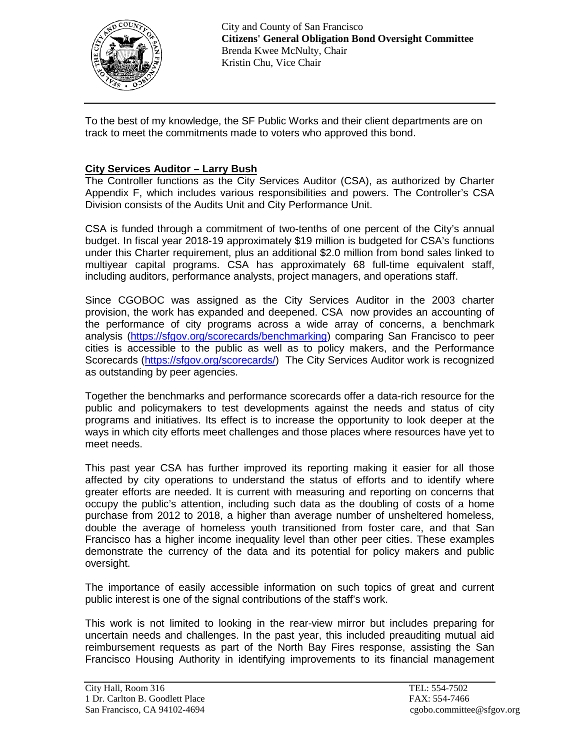

To the best of my knowledge, the SF Public Works and their client departments are on track to meet the commitments made to voters who approved this bond.

# **City Services Auditor – Larry Bush**

The Controller functions as the City Services Auditor (CSA), as authorized by Charter Appendix F, which includes various responsibilities and powers. The Controller's CSA Division consists of the Audits Unit and City Performance Unit.

CSA is funded through a commitment of two-tenths of one percent of the City's annual budget. In fiscal year 2018-19 approximately \$19 million is budgeted for CSA's functions under this Charter requirement, plus an additional \$2.0 million from bond sales linked to multiyear capital programs. CSA has approximately 68 full-time equivalent staff, including auditors, performance analysts, project managers, and operations staff.

Since CGOBOC was assigned as the City Services Auditor in the 2003 charter provision, the work has expanded and deepened. CSA now provides an accounting of the performance of city programs across a wide array of concerns, a benchmark analysis [\(https://sfgov.org/scorecards/benchmarking\)](https://sfgov.org/scorecards/benchmarking) comparing San Francisco to peer cities is accessible to the public as well as to policy makers, and the Performance Scorecards [\(https://sfgov.org/scorecards/\)](https://sfgov.org/scorecards/) The City Services Auditor work is recognized as outstanding by peer agencies.

Together the benchmarks and performance scorecards offer a data-rich resource for the public and policymakers to test developments against the needs and status of city programs and initiatives. Its effect is to increase the opportunity to look deeper at the ways in which city efforts meet challenges and those places where resources have yet to meet needs.

This past year CSA has further improved its reporting making it easier for all those affected by city operations to understand the status of efforts and to identify where greater efforts are needed. It is current with measuring and reporting on concerns that occupy the public's attention, including such data as the doubling of costs of a home purchase from 2012 to 2018, a higher than average number of unsheltered homeless, double the average of homeless youth transitioned from foster care, and that San Francisco has a higher income inequality level than other peer cities. These examples demonstrate the currency of the data and its potential for policy makers and public oversight.

The importance of easily accessible information on such topics of great and current public interest is one of the signal contributions of the staff's work.

This work is not limited to looking in the rear-view mirror but includes preparing for uncertain needs and challenges. In the past year, this included preauditing mutual aid reimbursement requests as part of the North Bay Fires response, assisting the San Francisco Housing Authority in identifying improvements to its financial management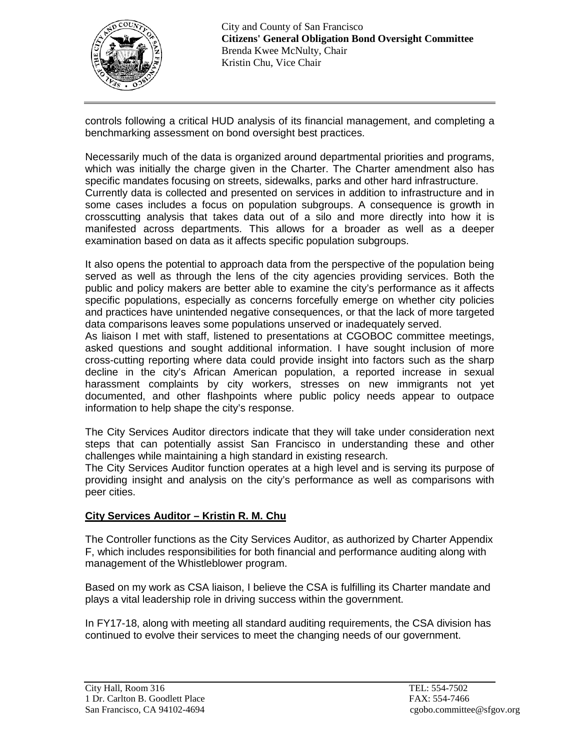

controls following a critical HUD analysis of its financial management, and completing a benchmarking assessment on bond oversight best practices.

Necessarily much of the data is organized around departmental priorities and programs, which was initially the charge given in the Charter. The Charter amendment also has specific mandates focusing on streets, sidewalks, parks and other hard infrastructure. Currently data is collected and presented on services in addition to infrastructure and in some cases includes a focus on population subgroups. A consequence is growth in crosscutting analysis that takes data out of a silo and more directly into how it is manifested across departments. This allows for a broader as well as a deeper examination based on data as it affects specific population subgroups.

It also opens the potential to approach data from the perspective of the population being served as well as through the lens of the city agencies providing services. Both the public and policy makers are better able to examine the city's performance as it affects specific populations, especially as concerns forcefully emerge on whether city policies and practices have unintended negative consequences, or that the lack of more targeted data comparisons leaves some populations unserved or inadequately served.

As liaison I met with staff, listened to presentations at CGOBOC committee meetings, asked questions and sought additional information. I have sought inclusion of more cross-cutting reporting where data could provide insight into factors such as the sharp decline in the city's African American population, a reported increase in sexual harassment complaints by city workers, stresses on new immigrants not yet documented, and other flashpoints where public policy needs appear to outpace information to help shape the city's response.

The City Services Auditor directors indicate that they will take under consideration next steps that can potentially assist San Francisco in understanding these and other challenges while maintaining a high standard in existing research.

The City Services Auditor function operates at a high level and is serving its purpose of providing insight and analysis on the city's performance as well as comparisons with peer cities.

# **City Services Auditor – Kristin R. M. Chu**

The Controller functions as the City Services Auditor, as authorized by Charter Appendix F, which includes responsibilities for both financial and performance auditing along with management of the Whistleblower program.

Based on my work as CSA liaison, I believe the CSA is fulfilling its Charter mandate and plays a vital leadership role in driving success within the government.

In FY17-18, along with meeting all standard auditing requirements, the CSA division has continued to evolve their services to meet the changing needs of our government.